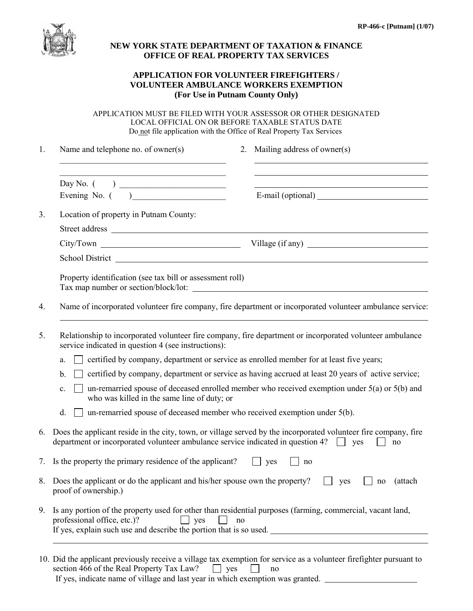

## **NEW YORK STATE DEPARTMENT OF TAXATION & FINANCE OFFICE OF REAL PROPERTY TAX SERVICES**

## **APPLICATION FOR VOLUNTEER FIREFIGHTERS / VOLUNTEER AMBULANCE WORKERS EXEMPTION (For Use in Putnam County Only)**

APPLICATION MUST BE FILED WITH YOUR ASSESSOR OR OTHER DESIGNATED LOCAL OFFICIAL ON OR BEFORE TAXABLE STATUS DATE Do not file application with the Office of Real Property Tax Services

| 1. | Name and telephone no. of owner(s)<br>Mailing address of owner(s)<br>2.                                                                                                                                                             |  |  |  |  |  |  |  |
|----|-------------------------------------------------------------------------------------------------------------------------------------------------------------------------------------------------------------------------------------|--|--|--|--|--|--|--|
|    | <u> 1989 - Johann Stein, marwolaethau a bhann an t-Amhain an t-Amhain an t-Amhain an t-Amhain an t-Amhain an t-A</u>                                                                                                                |  |  |  |  |  |  |  |
|    | Evening No. $($                                                                                                                                                                                                                     |  |  |  |  |  |  |  |
| 3. | Location of property in Putnam County:                                                                                                                                                                                              |  |  |  |  |  |  |  |
|    |                                                                                                                                                                                                                                     |  |  |  |  |  |  |  |
|    | City/Town<br>Village $($ if any $)$                                                                                                                                                                                                 |  |  |  |  |  |  |  |
|    |                                                                                                                                                                                                                                     |  |  |  |  |  |  |  |
|    | Property identification (see tax bill or assessment roll)<br>Tax map number or section/block/lot:<br><u> 1989 - Jan Barnett, fransk politiker og den større og den forskeller og den som forskeller og den som forske</u> ll        |  |  |  |  |  |  |  |
| 4. | Name of incorporated volunteer fire company, fire department or incorporated volunteer ambulance service:                                                                                                                           |  |  |  |  |  |  |  |
| 5. | Relationship to incorporated volunteer fire company, fire department or incorporated volunteer ambulance<br>service indicated in question 4 (see instructions):                                                                     |  |  |  |  |  |  |  |
|    | certified by company, department or service as enrolled member for at least five years;<br>a.                                                                                                                                       |  |  |  |  |  |  |  |
|    | certified by company, department or service as having accrued at least 20 years of active service;<br>b.                                                                                                                            |  |  |  |  |  |  |  |
|    | un-remarried spouse of deceased enrolled member who received exemption under $5(a)$ or $5(b)$ and<br>$\mathbf{c}$ .<br>who was killed in the same line of duty; or                                                                  |  |  |  |  |  |  |  |
|    | un-remarried spouse of deceased member who received exemption under 5(b).<br>d.                                                                                                                                                     |  |  |  |  |  |  |  |
| 6. | Does the applicant reside in the city, town, or village served by the incorporated volunteer fire company, fire<br>department or incorporated volunteer ambulance service indicated in question 4? $\Box$ yes<br>no                 |  |  |  |  |  |  |  |
| 7. | Is the property the primary residence of the applicant?<br>$\Box$ yes<br>no                                                                                                                                                         |  |  |  |  |  |  |  |
|    | 8. Does the applicant or do the applicant and his/her spouse own the property?<br>(attach<br>yes<br>no<br>proof of ownership.)                                                                                                      |  |  |  |  |  |  |  |
| 9. | Is any portion of the property used for other than residential purposes (farming, commercial, vacant land,<br>professional office, etc.)?<br>$\Box$ yes<br>no<br>If yes, explain such use and describe the portion that is so used. |  |  |  |  |  |  |  |
|    |                                                                                                                                                                                                                                     |  |  |  |  |  |  |  |

|                                                                                | 10. Did the applicant previously receive a village tax exemption for service as a volunteer firefighter pursuant to |  |  |                |  |  |  |
|--------------------------------------------------------------------------------|---------------------------------------------------------------------------------------------------------------------|--|--|----------------|--|--|--|
|                                                                                | section 466 of the Real Property Tax Law? $\Box$ yes                                                                |  |  | n <sub>0</sub> |  |  |  |
| If yes, indicate name of village and last year in which exemption was granted. |                                                                                                                     |  |  |                |  |  |  |